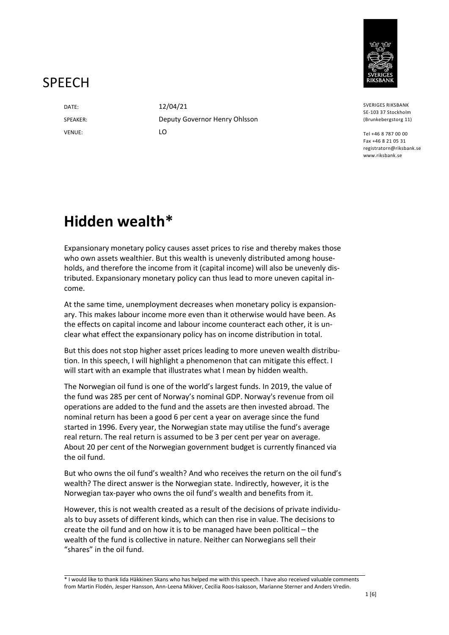

#### **SPFFCH**

DATE: 12/04/21 VENUE: LO

SPEAKER: Deputy Governor Henry Ohlsson

SVERIGES RIKSBANK SE-103 37 Stockholm (Brunkebergstorg 11)

Tel +46 8 787 00 00 Fax +46 8 21 05 31 registratorn@riksbank.se www.riksbank.se

# **Hidden wealth\***

Expansionary monetary policy causes asset prices to rise and thereby makes those who own assets wealthier. But this wealth is unevenly distributed among households, and therefore the income from it (capital income) will also be unevenly distributed. Expansionary monetary policy can thus lead to more uneven capital income.

At the same time, unemployment decreases when monetary policy is expansionary. This makes labour income more even than it otherwise would have been. As the effects on capital income and labour income counteract each other, it is unclear what effect the expansionary policy has on income distribution in total.

But this does not stop higher asset prices leading to more uneven wealth distribution. In this speech, I will highlight a phenomenon that can mitigate this effect. I will start with an example that illustrates what I mean by hidden wealth.

The Norwegian oil fund is one of the world's largest funds. In 2019, the value of the fund was 285 per cent of Norway's nominal GDP. Norway's revenue from oil operations are added to the fund and the assets are then invested abroad. The nominal return has been a good 6 per cent a year on average since the fund started in 1996. Every year, the Norwegian state may utilise the fund's average real return. The real return is assumed to be 3 per cent per year on average. About 20 per cent of the Norwegian government budget is currently financed via the oil fund.

But who owns the oil fund's wealth? And who receives the return on the oil fund's wealth? The direct answer is the Norwegian state. Indirectly, however, it is the Norwegian tax-payer who owns the oil fund's wealth and benefits from it.

However, this is not wealth created as a result of the decisions of private individuals to buy assets of different kinds, which can then rise in value. The decisions to create the oil fund and on how it is to be managed have been political – the wealth of the fund is collective in nature. Neither can Norwegians sell their "shares" in the oil fund.

\* I would like to thank Iida Häkkinen Skans who has helped me with this speech. I have also received valuable comments from Martin Flodén, Jesper Hansson, Ann-Leena Mikiver, Cecilia Roos-Isaksson, Marianne Sterner and Anders Vredin.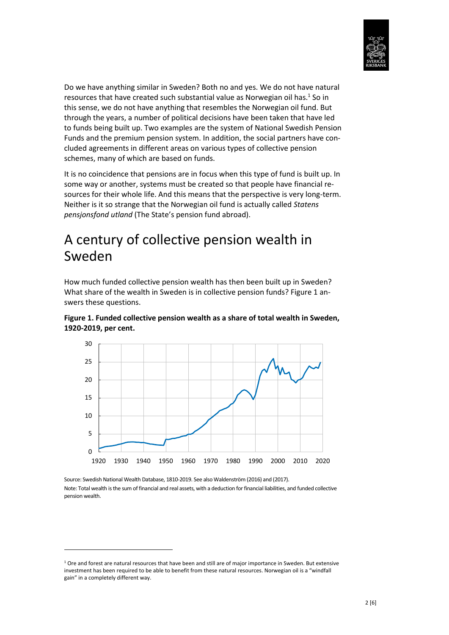

Do we have anything similar in Sweden? Both no and yes. We do not have natural resources that have created such substantial value as Norwegian oil has. $<sup>1</sup>$  So in</sup> this sense, we do not have anything that resembles the Norwegian oil fund. But through the years, a number of political decisions have been taken that have led to funds being built up. Two examples are the system of National Swedish Pension Funds and the premium pension system. In addition, the social partners have concluded agreements in different areas on various types of collective pension schemes, many of which are based on funds.

It is no coincidence that pensions are in focus when this type of fund is built up. In some way or another, systems must be created so that people have financial resources for their whole life. And this means that the perspective is very long-term. Neither is it so strange that the Norwegian oil fund is actually called *Statens pensjonsfond utland* (The State's pension fund abroad).

### A century of collective pension wealth in Sweden

How much funded collective pension wealth has then been built up in Sweden? What share of the wealth in Sweden is in collective pension funds? Figure 1 answers these questions.



**Figure 1. Funded collective pension wealth as a share of total wealth in Sweden, 1920-2019, per cent.** 

Source: Swedish National Wealth Database, 1810-2019. See also Waldenström (2016) and (2017). Note: Total wealth is the sum of financial and real assets, with a deduction for financial liabilities, and funded collective pension wealth.

**.** 

 $1$  Ore and forest are natural resources that have been and still are of major importance in Sweden. But extensive investment has been required to be able to benefit from these natural resources. Norwegian oil is a "windfall gain" in a completely different way.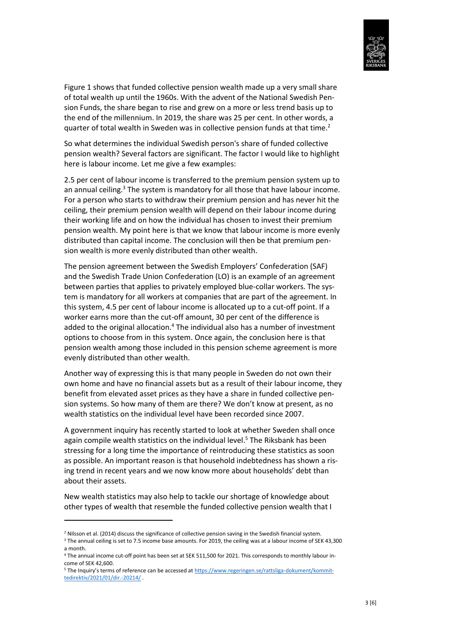

Figure 1 shows that funded collective pension wealth made up a very small share of total wealth up until the 1960s. With the advent of the National Swedish Pension Funds, the share began to rise and grew on a more or less trend basis up to the end of the millennium. In 2019, the share was 25 per cent. In other words, a quarter of total wealth in Sweden was in collective pension funds at that time.<sup>2</sup>

So what determines the individual Swedish person's share of funded collective pension wealth? Several factors are significant. The factor I would like to highlight here is labour income. Let me give a few examples:

2.5 per cent of labour income is transferred to the premium pension system up to an annual ceiling.<sup>3</sup> The system is mandatory for all those that have labour income. For a person who starts to withdraw their premium pension and has never hit the ceiling, their premium pension wealth will depend on their labour income during their working life and on how the individual has chosen to invest their premium pension wealth. My point here is that we know that labour income is more evenly distributed than capital income. The conclusion will then be that premium pension wealth is more evenly distributed than other wealth.

The pension agreement between the Swedish Employers' Confederation (SAF) and the Swedish Trade Union Confederation (LO) is an example of an agreement between parties that applies to privately employed blue-collar workers. The system is mandatory for all workers at companies that are part of the agreement. In this system, 4.5 per cent of labour income is allocated up to a cut-off point. If a worker earns more than the cut-off amount, 30 per cent of the difference is added to the original allocation.<sup>4</sup> The individual also has a number of investment options to choose from in this system. Once again, the conclusion here is that pension wealth among those included in this pension scheme agreement is more evenly distributed than other wealth.

Another way of expressing this is that many people in Sweden do not own their own home and have no financial assets but as a result of their labour income, they benefit from elevated asset prices as they have a share in funded collective pension systems. So how many of them are there? We don't know at present, as no wealth statistics on the individual level have been recorded since 2007.

A government inquiry has recently started to look at whether Sweden shall once again compile wealth statistics on the individual level.<sup>5</sup> The Riksbank has been stressing for a long time the importance of reintroducing these statistics as soon as possible. An important reason is that household indebtedness has shown a rising trend in recent years and we now know more about households' debt than about their assets.

New wealth statistics may also help to tackle our shortage of knowledge about other types of wealth that resemble the funded collective pension wealth that I

**.** 

<sup>&</sup>lt;sup>2</sup> Nilsson et al. (2014) discuss the significance of collective pension saving in the Swedish financial system.

<sup>&</sup>lt;sup>3</sup> The annual ceiling is set to 7.5 income base amounts. For 2019, the ceiling was at a labour income of SEK 43,300 a month.

<sup>4</sup> The annual income cut-off point has been set at SEK 511,500 for 2021. This corresponds to monthly labour income of SEK 42,600.

<sup>&</sup>lt;sup>5</sup> The Inquiry's terms of reference can be accessed at https://www.regeringen.se/rattsliga-dokument/kommittedirektiv/2021/01/dir.-20214/ .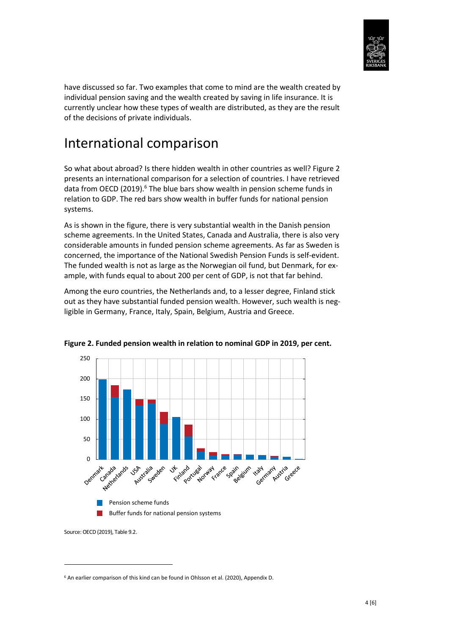

have discussed so far. Two examples that come to mind are the wealth created by individual pension saving and the wealth created by saving in life insurance. It is currently unclear how these types of wealth are distributed, as they are the result of the decisions of private individuals.

# International comparison

So what about abroad? Is there hidden wealth in other countries as well? Figure 2 presents an international comparison for a selection of countries. I have retrieved data from OECD (2019).<sup>6</sup> The blue bars show wealth in pension scheme funds in relation to GDP. The red bars show wealth in buffer funds for national pension systems.

As is shown in the figure, there is very substantial wealth in the Danish pension scheme agreements. In the United States, Canada and Australia, there is also very considerable amounts in funded pension scheme agreements. As far as Sweden is concerned, the importance of the National Swedish Pension Funds is self-evident. The funded wealth is not as large as the Norwegian oil fund, but Denmark, for example, with funds equal to about 200 per cent of GDP, is not that far behind.

Among the euro countries, the Netherlands and, to a lesser degree, Finland stick out as they have substantial funded pension wealth. However, such wealth is negligible in Germany, France, Italy, Spain, Belgium, Austria and Greece.



**Figure 2. Funded pension wealth in relation to nominal GDP in 2019, per cent.** 

Source: OECD (2019), Table 9.2.

1

<sup>&</sup>lt;sup>6</sup> An earlier comparison of this kind can be found in Ohlsson et al. (2020), Appendix D.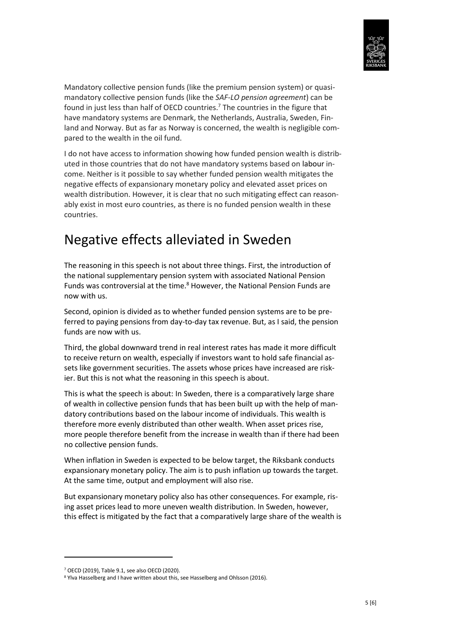

Mandatory collective pension funds (like the premium pension system) or quasimandatory collective pension funds (like the *SAF-LO pension agreement*) can be found in just less than half of OECD countries.<sup>7</sup> The countries in the figure that have mandatory systems are Denmark, the Netherlands, Australia, Sweden, Finland and Norway. But as far as Norway is concerned, the wealth is negligible compared to the wealth in the oil fund.

I do not have access to information showing how funded pension wealth is distributed in those countries that do not have mandatory systems based on labour income. Neither is it possible to say whether funded pension wealth mitigates the negative effects of expansionary monetary policy and elevated asset prices on wealth distribution. However, it is clear that no such mitigating effect can reasonably exist in most euro countries, as there is no funded pension wealth in these countries.

# Negative effects alleviated in Sweden

The reasoning in this speech is not about three things. First, the introduction of the national supplementary pension system with associated National Pension Funds was controversial at the time.<sup>8</sup> However, the National Pension Funds are now with us.

Second, opinion is divided as to whether funded pension systems are to be preferred to paying pensions from day-to-day tax revenue. But, as I said, the pension funds are now with us.

Third, the global downward trend in real interest rates has made it more difficult to receive return on wealth, especially if investors want to hold safe financial assets like government securities. The assets whose prices have increased are riskier. But this is not what the reasoning in this speech is about.

This is what the speech is about: In Sweden, there is a comparatively large share of wealth in collective pension funds that has been built up with the help of mandatory contributions based on the labour income of individuals. This wealth is therefore more evenly distributed than other wealth. When asset prices rise, more people therefore benefit from the increase in wealth than if there had been no collective pension funds.

When inflation in Sweden is expected to be below target, the Riksbank conducts expansionary monetary policy. The aim is to push inflation up towards the target. At the same time, output and employment will also rise.

But expansionary monetary policy also has other consequences. For example, rising asset prices lead to more uneven wealth distribution. In Sweden, however, this effect is mitigated by the fact that a comparatively large share of the wealth is

1

<sup>7</sup> OECD (2019), Table 9.1, see also OECD (2020).

<sup>8</sup> Ylva Hasselberg and I have written about this, see Hasselberg and Ohlsson (2016).